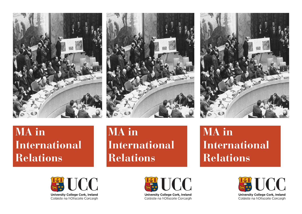

## **MA in International Relations**



**University College Cork, Ireland** Coláiste na hOllscoile Corcaigh